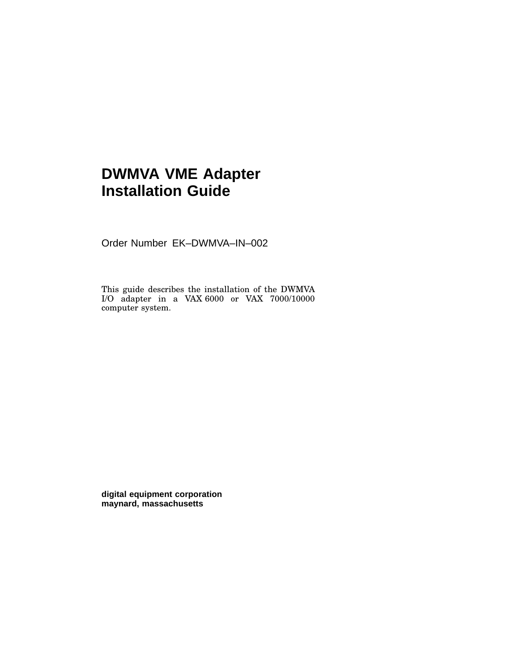## **DWMVA VME Adapter Installation Guide**

Order Number EK–DWMVA–IN–002

This guide describes the installation of the DWMVA I/O adapter in a VAX 6000 or VAX 7000/10000 computer system.

**digital equipment corporation maynard, massachusetts**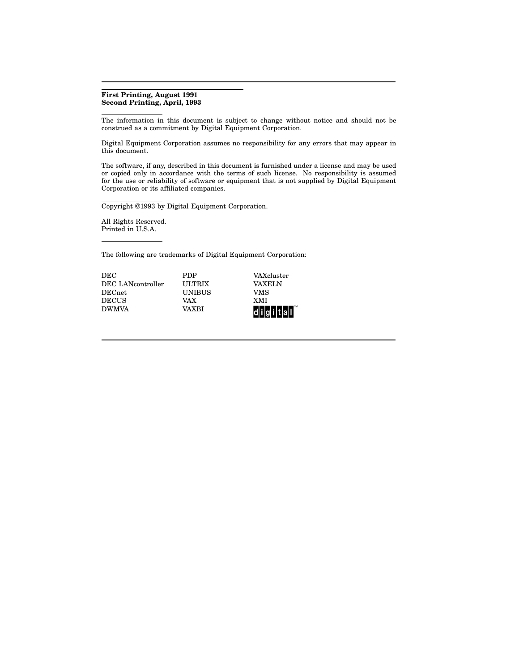#### **First Printing, August 1991 Second Printing, April, 1993**

The information in this document is subject to change without notice and should not be construed as a commitment by Digital Equipment Corporation.

Digital Equipment Corporation assumes no responsibility for any errors that may appear in this document.

The software, if any, described in this document is furnished under a license and may be used or copied only in accordance with the terms of such license. No responsibility is assumed for the use or reliability of software or equipment that is not supplied by Digital Equipment Corporation or its affiliated companies.

Copyright ©1993 by Digital Equipment Corporation.

All Rights Reserved. Printed in U.S.A.

The following are trademarks of Digital Equipment Corporation:

| <b>DEC</b>        | PDP           | VAXcluster    |
|-------------------|---------------|---------------|
| DEC LANcontroller | <b>ULTRIX</b> | <b>VAXELN</b> |
| DECnet            | <b>UNIBUS</b> | VMS           |
| <b>DECUS</b>      | VAX           | <b>XMI</b>    |
| <b>DWMVA</b>      | VAXRI         |               |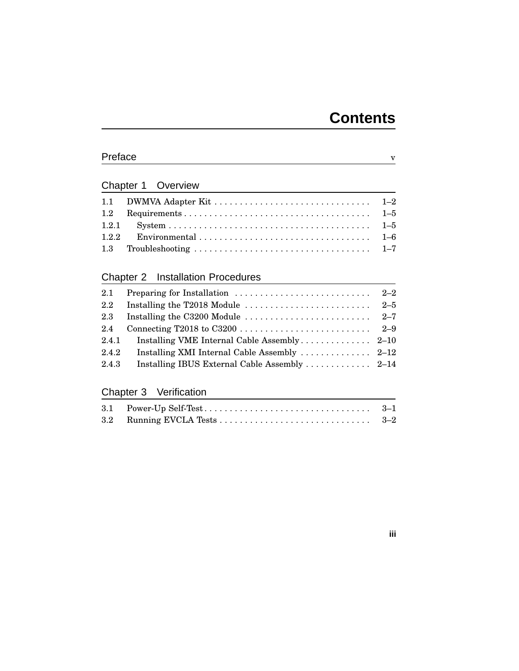# **Contents**

## Preface version of the contract of the contract of the contract of the contract of the contract of the contract of the contract of the contract of the contract of the contract of the contract of the contract of the contrac

## Chapter 1 Overview

## Chapter 2 Installation Procedures

| Installing the C3200 Module $\ldots \ldots \ldots \ldots \ldots \ldots \ldots \ldots$ 2-7 |  |
|-------------------------------------------------------------------------------------------|--|
|                                                                                           |  |
| 2.4.1                                                                                     |  |
| Installing XMI Internal Cable Assembly $\ldots \ldots \ldots \ldots 2-12$                 |  |
|                                                                                           |  |
|                                                                                           |  |

## Chapter 3 Verification

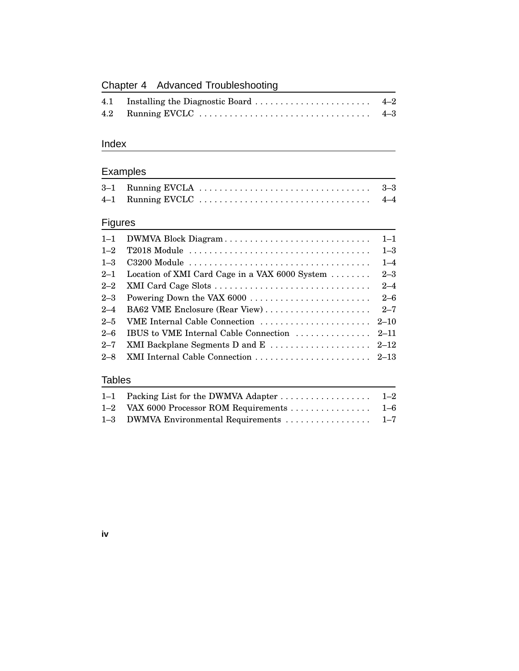## Chapter 4 Advanced Troubleshooting

## Index

## Examples

## Figures

| $1 - 1$ | DWMVA Block Diagram                                          | $1 - 1$ |
|---------|--------------------------------------------------------------|---------|
| $1 - 2$ |                                                              | $1 - 3$ |
| $1 - 3$ |                                                              | $1 - 4$ |
| $2 - 1$ | Location of XMI Card Cage in a VAX 6000 System $\dots \dots$ | $2 - 3$ |
| $2 - 2$ |                                                              | $2 - 4$ |
| $2 - 3$ |                                                              |         |
| $2 - 4$ |                                                              |         |
| $2 - 5$ | VME Internal Cable Connection  2–10                          |         |
| $2 - 6$ | IBUS to VME Internal Cable Connection  2–11                  |         |
| $2 - 7$ |                                                              |         |
| $2 - 8$ |                                                              |         |
|         |                                                              |         |

## **Tables**

| 1-2 VAX 6000 Processor ROM Requirements 1-6 |  |
|---------------------------------------------|--|
|                                             |  |

### **iv**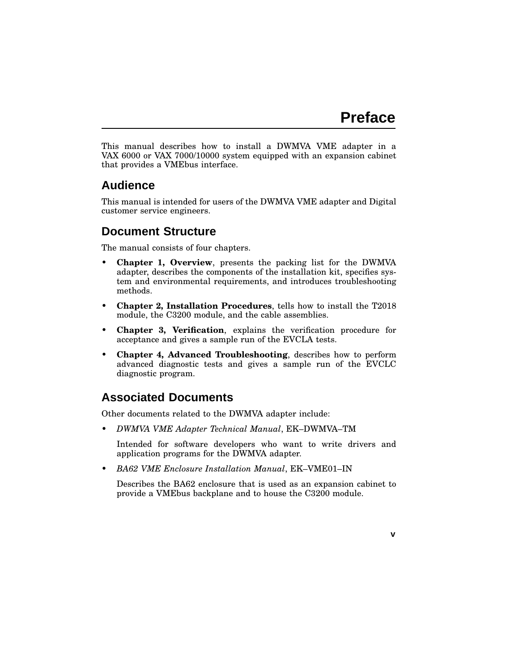**v**

This manual describes how to install a DWMVA VME adapter in a VAX 6000 or VAX 7000/10000 system equipped with an expansion cabinet that provides a VMEbus interface.

## **Audience**

This manual is intended for users of the DWMVA VME adapter and Digital customer service engineers.

## **Document Structure**

The manual consists of four chapters.

- **Chapter 1, Overview**, presents the packing list for the DWMVA adapter, describes the components of the installation kit, specifies system and environmental requirements, and introduces troubleshooting methods.
- **Chapter 2, Installation Procedures**, tells how to install the T2018 module, the C3200 module, and the cable assemblies.
- **Chapter 3, Verification**, explains the verification procedure for acceptance and gives a sample run of the EVCLA tests.
- **Chapter 4, Advanced Troubleshooting**, describes how to perform advanced diagnostic tests and gives a sample run of the EVCLC diagnostic program.

## **Associated Documents**

Other documents related to the DWMVA adapter include:

• *DWMVA VME Adapter Technical Manual*, EK–DWMVA–TM

Intended for software developers who want to write drivers and application programs for the DWMVA adapter.

• *BA62 VME Enclosure Installation Manual*, EK–VME01–IN

Describes the BA62 enclosure that is used as an expansion cabinet to provide a VMEbus backplane and to house the C3200 module.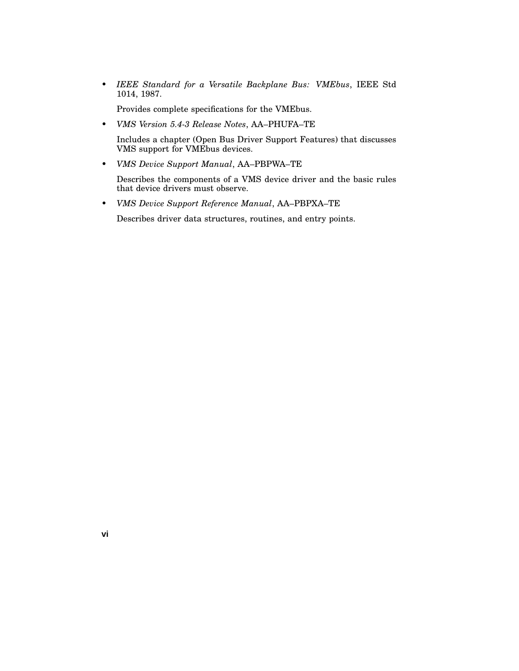• *IEEE Standard for a Versatile Backplane Bus: VMEbus*, IEEE Std 1014, 1987.

Provides complete specifications for the VMEbus.

• *VMS Version 5.4-3 Release Notes*, AA–PHUFA–TE

Includes a chapter (Open Bus Driver Support Features) that discusses VMS support for VMEbus devices.

• *VMS Device Support Manual*, AA–PBPWA–TE

Describes the components of a VMS device driver and the basic rules that device drivers must observe.

• *VMS Device Support Reference Manual*, AA–PBPXA–TE

Describes driver data structures, routines, and entry points.

**vi**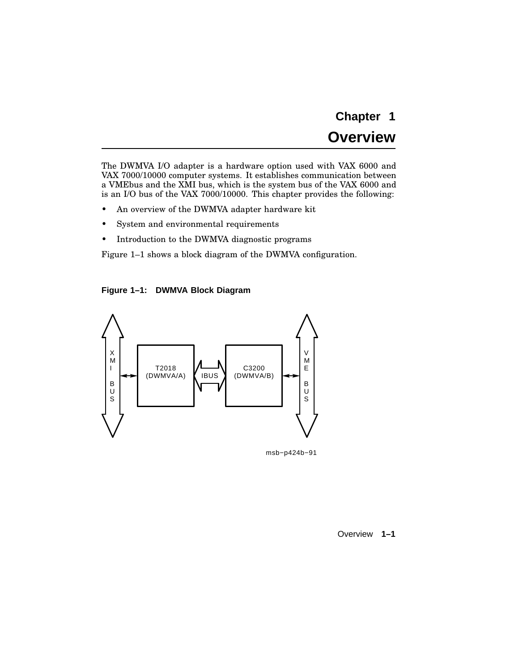## **Chapter 1 Overview**

The DWMVA I/O adapter is a hardware option used with VAX 6000 and VAX 7000/10000 computer systems. It establishes communication between a VMEbus and the XMI bus, which is the system bus of the VAX 6000 and is an I/O bus of the VAX 7000/10000. This chapter provides the following:

- An overview of the DWMVA adapter hardware kit
- System and environmental requirements
- Introduction to the DWMVA diagnostic programs

Figure 1–1 shows a block diagram of the DWMVA configuration.

**Figure 1–1: DWMVA Block Diagram**



msb−p424b−91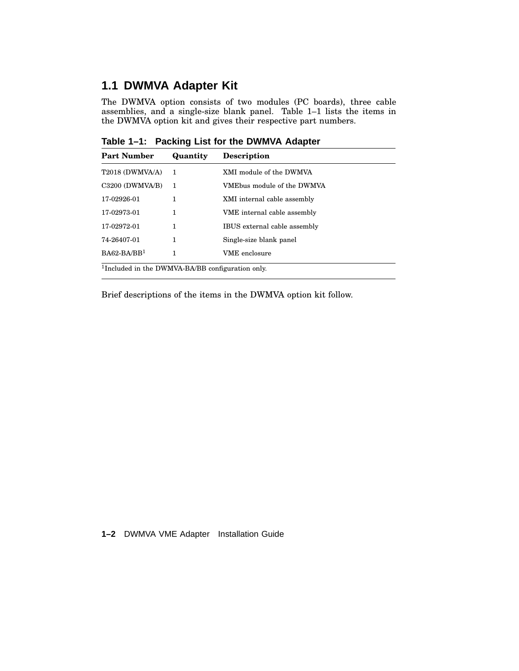## **1.1 DWMVA Adapter Kit**

The DWMVA option consists of two modules (PC boards), three cable assemblies, and a single-size blank panel. Table 1–1 lists the items in the DWMVA option kit and gives their respective part numbers.

**Table 1–1: Packing List for the DWMVA Adapter**

| <b>Part Number</b>                                           | Quantity | <b>Description</b>           |
|--------------------------------------------------------------|----------|------------------------------|
| T2018 (DWMVA/A)                                              | -1       | XMI module of the DWMVA      |
| C3200 (DWMVA/B)                                              | 1        | VMEbus module of the DWMVA   |
| 17-02926-01                                                  | 1        | XMI internal cable assembly  |
| 17-02973-01                                                  | 1        | VME internal cable assembly  |
| 17-02972-01                                                  | 1        | IBUS external cable assembly |
| 74-26407-01                                                  | 1        | Single-size blank panel      |
| $BA62-BA/BB1$                                                | 1        | VME enclosure                |
| <sup>1</sup> Included in the DWMVA-BA/BB configuration only. |          |                              |

Brief descriptions of the items in the DWMVA option kit follow.

### **1–2** DWMVA VME Adapter Installation Guide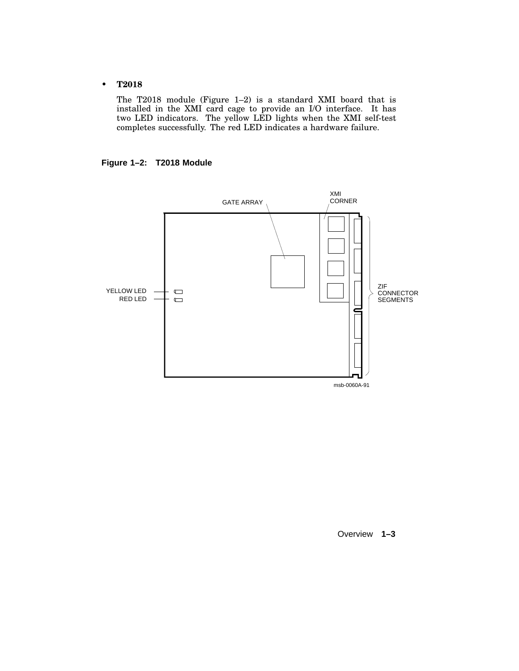#### • **T2018**

The T2018 module (Figure 1–2) is a standard XMI board that is installed in the XMI card cage to provide an I/O interface. It has two LED indicators. The yellow LED lights when the XMI self-test completes successfully. The red LED indicates a hardware failure.

#### **Figure 1–2: T2018 Module**



Overview **1–3**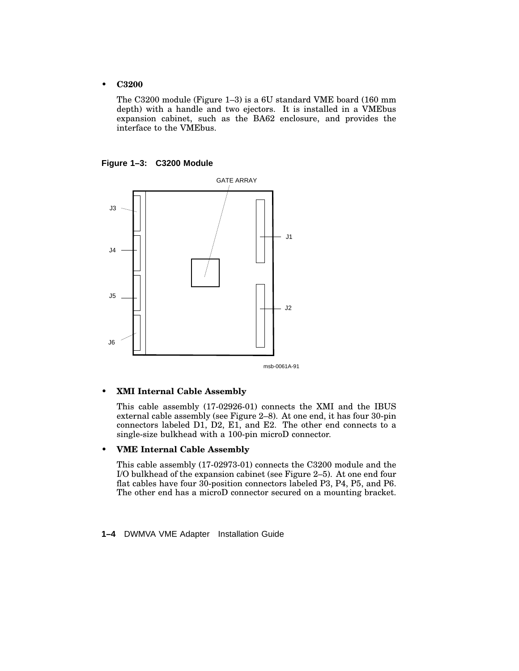#### • **C3200**

The C3200 module (Figure 1–3) is a 6U standard VME board (160 mm depth) with a handle and two ejectors. It is installed in a VMEbus expansion cabinet, such as the BA62 enclosure, and provides the interface to the VMEbus.

#### **Figure 1–3: C3200 Module**



msb-0061A-91

#### • **XMI Internal Cable Assembly**

This cable assembly (17-02926-01) connects the XMI and the IBUS external cable assembly (see Figure 2–8). At one end, it has four 30-pin connectors labeled D1, D2, E1, and E2. The other end connects to a single-size bulkhead with a 100-pin microD connector.

#### • **VME Internal Cable Assembly**

This cable assembly (17-02973-01) connects the C3200 module and the I/O bulkhead of the expansion cabinet (see Figure 2–5). At one end four flat cables have four 30-position connectors labeled P3, P4, P5, and P6. The other end has a microD connector secured on a mounting bracket.

#### **1–4** DWMVA VME Adapter Installation Guide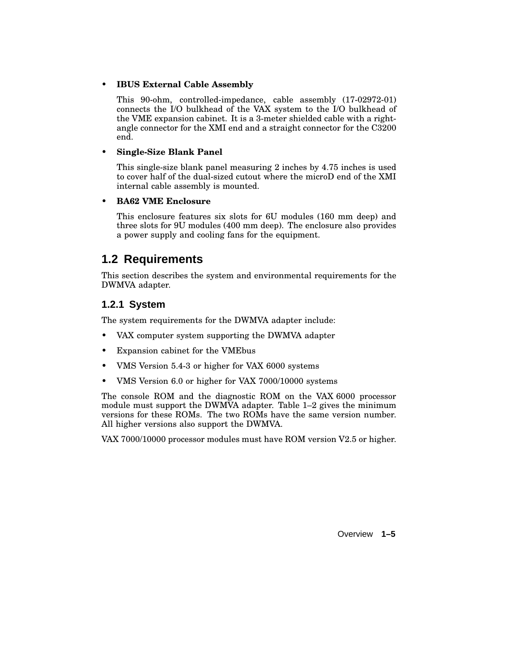#### • **IBUS External Cable Assembly**

This 90-ohm, controlled-impedance, cable assembly (17-02972-01) connects the I/O bulkhead of the VAX system to the I/O bulkhead of the VME expansion cabinet. It is a 3-meter shielded cable with a rightangle connector for the XMI end and a straight connector for the C3200 end.

#### • **Single-Size Blank Panel**

This single-size blank panel measuring 2 inches by 4.75 inches is used to cover half of the dual-sized cutout where the microD end of the XMI internal cable assembly is mounted.

#### • **BA62 VME Enclosure**

This enclosure features six slots for 6U modules (160 mm deep) and three slots for 9U modules (400 mm deep). The enclosure also provides a power supply and cooling fans for the equipment.

## **1.2 Requirements**

This section describes the system and environmental requirements for the DWMVA adapter.

### **1.2.1 System**

The system requirements for the DWMVA adapter include:

- VAX computer system supporting the DWMVA adapter
- Expansion cabinet for the VMEbus
- VMS Version 5.4-3 or higher for VAX 6000 systems
- VMS Version 6.0 or higher for VAX 7000/10000 systems

The console ROM and the diagnostic ROM on the VAX 6000 processor module must support the DWMVA adapter. Table 1–2 gives the minimum versions for these ROMs. The two ROMs have the same version number. All higher versions also support the DWMVA.

VAX 7000/10000 processor modules must have ROM version V2.5 or higher.

Overview **1–5**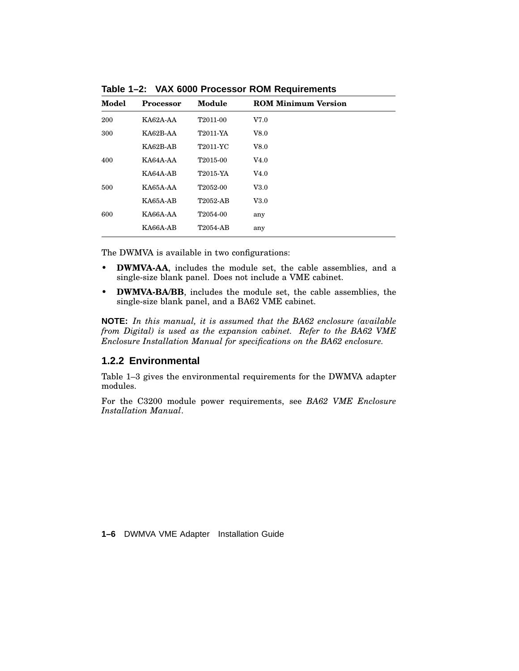| Model | <b>Processor</b> | Module   | <b>ROM Minimum Version</b> |  |
|-------|------------------|----------|----------------------------|--|
| 200   | KA62A-AA         | T2011-00 | V7.0                       |  |
| 300   | KA62B-AA         | T2011-YA | V8.0                       |  |
|       | $KAG2B-AB$       | T2011-YC | V8.0                       |  |
| 400   | KA64A-AA         | T2015-00 | V4.0                       |  |
|       | KA64A-AB         | T2015-YA | V4.0                       |  |
| 500   | KA65A-AA         | T2052-00 | V3.0                       |  |
|       | KA65A-AB         | T2052-AB | V3.0                       |  |
| 600   | KA66A-AA         | T2054-00 | any                        |  |
|       | KA66A-AB         | T2054-AB | any                        |  |

**Table 1–2: VAX 6000 Processor ROM Requirements**

The DWMVA is available in two configurations:

- **DWMVA-AA**, includes the module set, the cable assemblies, and a single-size blank panel. Does not include a VME cabinet.
- **DWMVA-BA/BB**, includes the module set, the cable assemblies, the single-size blank panel, and a BA62 VME cabinet.

**NOTE:** *In this manual, it is assumed that the BA62 enclosure (available from Digital) is used as the expansion cabinet. Refer to the BA62 VME Enclosure Installation Manual for specifications on the BA62 enclosure.*

#### **1.2.2 Environmental**

Table 1–3 gives the environmental requirements for the DWMVA adapter modules.

For the C3200 module power requirements, see *BA62 VME Enclosure Installation Manual*.

**1–6** DWMVA VME Adapter Installation Guide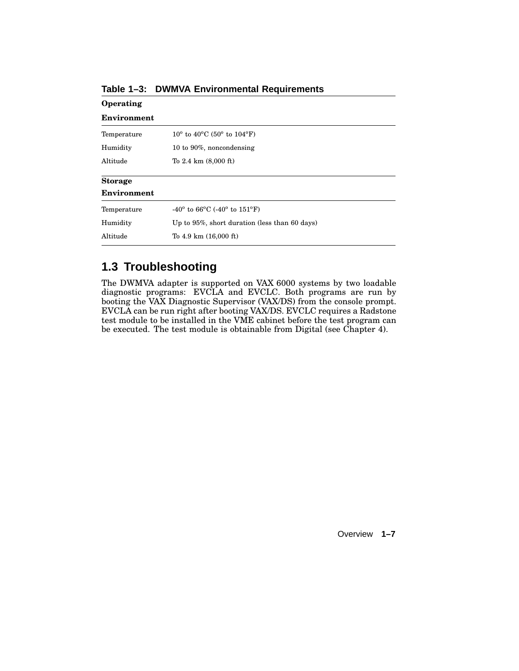| Operating                                  |                                                                       |  |  |  |
|--------------------------------------------|-----------------------------------------------------------------------|--|--|--|
| Environment                                |                                                                       |  |  |  |
| Temperature                                | $10^{\circ}$ to $40^{\circ}$ C (50 <sup>°</sup> to $104^{\circ}$ F)   |  |  |  |
| Humidity                                   | 10 to 90%, noncondensing                                              |  |  |  |
| Altitude<br>To 2.4 km $(8,000 \text{ ft})$ |                                                                       |  |  |  |
| <b>Storage</b>                             |                                                                       |  |  |  |
| Environment                                |                                                                       |  |  |  |
| Temperature                                | $-40^{\circ}$ to 66 $^{\circ}$ C (-40 $^{\circ}$ to 151 $^{\circ}$ F) |  |  |  |
| Humidity                                   | Up to $95\%$ , short duration (less than 60 days)                     |  |  |  |
| Altitude                                   | To $4.9 \text{ km}$ (16,000 ft)                                       |  |  |  |

**Table 1–3: DWMVA Environmental Requirements**

## **1.3 Troubleshooting**

The DWMVA adapter is supported on VAX 6000 systems by two loadable diagnostic programs: EVCLA and EVCLC. Both programs are run by booting the VAX Diagnostic Supervisor (VAX/DS) from the console prompt. EVCLA can be run right after booting VAX/DS. EVCLC requires a Radstone test module to be installed in the VME cabinet before the test program can be executed. The test module is obtainable from Digital (see Chapter 4).

Overview **1–7**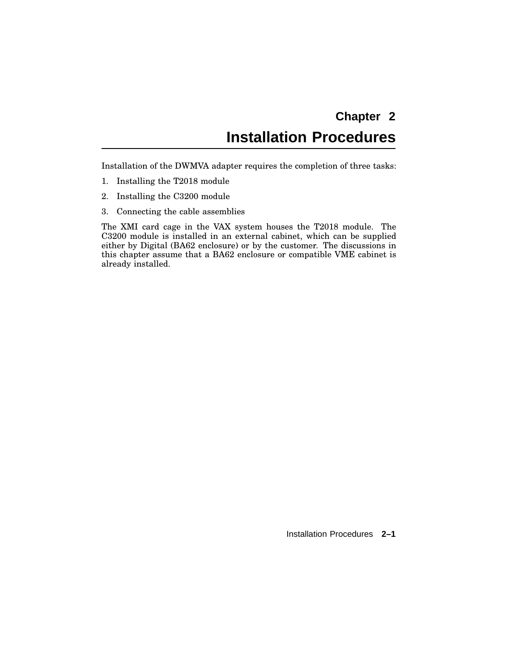# **Chapter 2 Installation Procedures**

Installation of the DWMVA adapter requires the completion of three tasks:

- 1. Installing the T2018 module
- 2. Installing the C3200 module
- 3. Connecting the cable assemblies

The XMI card cage in the VAX system houses the T2018 module. The C3200 module is installed in an external cabinet, which can be supplied either by Digital (BA62 enclosure) or by the customer. The discussions in this chapter assume that a BA62 enclosure or compatible VME cabinet is already installed.

Installation Procedures **2–1**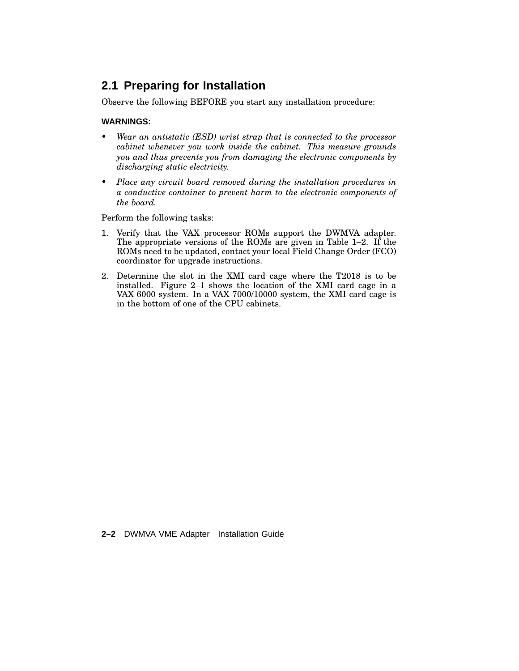## **2.1 Preparing for Installation**

Observe the following BEFORE you start any installation procedure:

#### **WARNINGS:**

- *• Wear an antistatic (ESD) wrist strap that is connected to the processor cabinet whenever you work inside the cabinet. This measure grounds you and thus prevents you from damaging the electronic components by discharging static electricity.*
- *• Place any circuit board removed during the installation procedures in a conductive container to prevent harm to the electronic components of the board.*

Perform the following tasks:

- 1. Verify that the VAX processor ROMs support the DWMVA adapter. The appropriate versions of the ROMs are given in Table 1–2. If the ROMs need to be updated, contact your local Field Change Order (FCO) coordinator for upgrade instructions.
- 2. Determine the slot in the XMI card cage where the T2018 is to be installed. Figure 2–1 shows the location of the XMI card cage in a VAX 6000 system. In a VAX 7000/10000 system, the XMI card cage is in the bottom of one of the CPU cabinets.

**2–2** DWMVA VME Adapter Installation Guide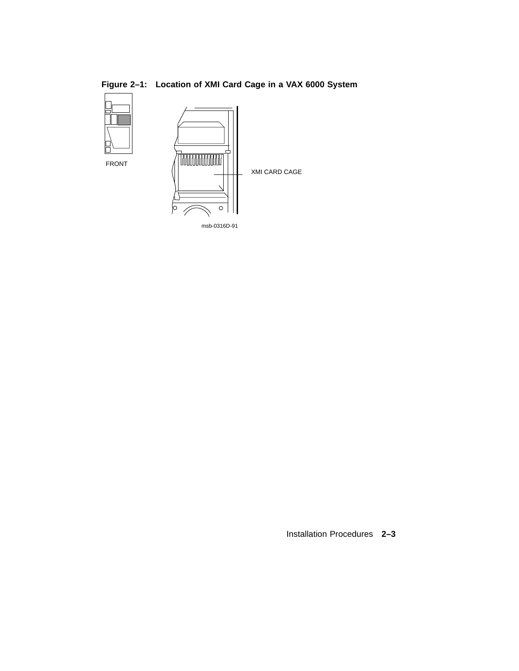**Figure 2–1: Location of XMI Card Cage in a VAX 6000 System**



msb-0316D-91

Installation Procedures **2–3**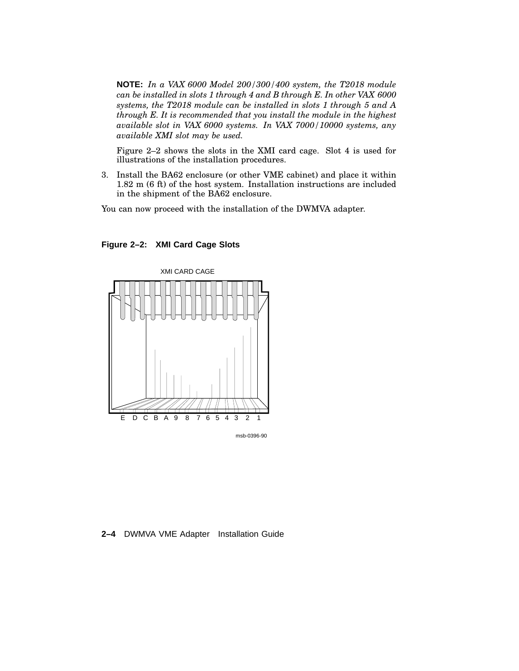**NOTE:** *In a VAX 6000 Model 200/300/400 system, the T2018 module can be installed in slots 1 through 4 and B through E. In other VAX 6000 systems, the T2018 module can be installed in slots 1 through 5 and A through E. It is recommended that you install the module in the highest available slot in VAX 6000 systems. In VAX 7000/10000 systems, any available XMI slot may be used.*

Figure 2–2 shows the slots in the XMI card cage. Slot 4 is used for illustrations of the installation procedures.

3. Install the BA62 enclosure (or other VME cabinet) and place it within 1.82 m (6 ft) of the host system. Installation instructions are included in the shipment of the BA62 enclosure.

You can now proceed with the installation of the DWMVA adapter.



#### **Figure 2–2: XMI Card Cage Slots**

**2–4** DWMVA VME Adapter Installation Guide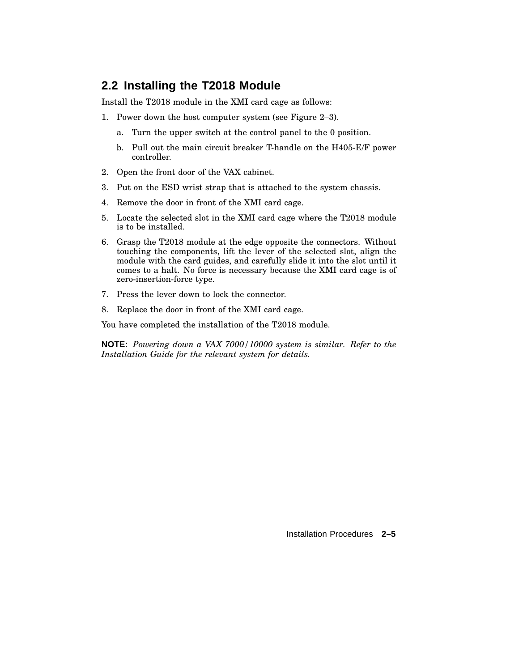## **2.2 Installing the T2018 Module**

Install the T2018 module in the XMI card cage as follows:

- 1. Power down the host computer system (see Figure 2–3).
	- a. Turn the upper switch at the control panel to the 0 position.
	- b. Pull out the main circuit breaker T-handle on the H405-E/F power controller.
- 2. Open the front door of the VAX cabinet.
- 3. Put on the ESD wrist strap that is attached to the system chassis.
- 4. Remove the door in front of the XMI card cage.
- 5. Locate the selected slot in the XMI card cage where the T2018 module is to be installed.
- 6. Grasp the T2018 module at the edge opposite the connectors. Without touching the components, lift the lever of the selected slot, align the module with the card guides, and carefully slide it into the slot until it comes to a halt. No force is necessary because the XMI card cage is of zero-insertion-force type.
- 7. Press the lever down to lock the connector.
- 8. Replace the door in front of the XMI card cage.

You have completed the installation of the T2018 module.

**NOTE:** *Powering down a VAX 7000/10000 system is similar. Refer to the Installation Guide for the relevant system for details.*

Installation Procedures **2–5**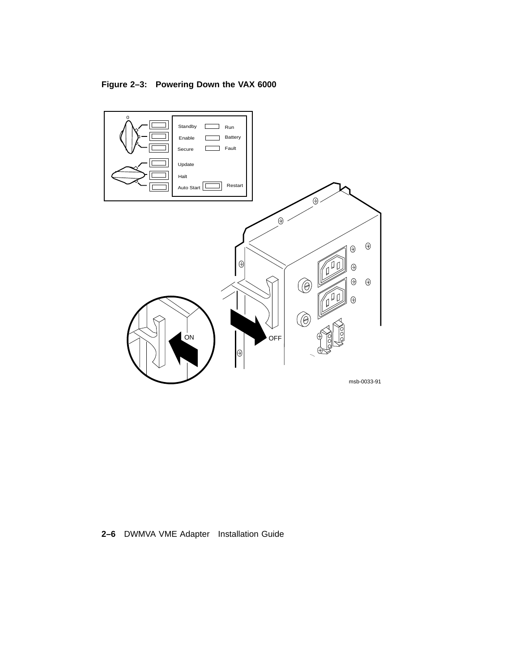**Figure 2–3: Powering Down the VAX 6000**



**2–6** DWMVA VME Adapter Installation Guide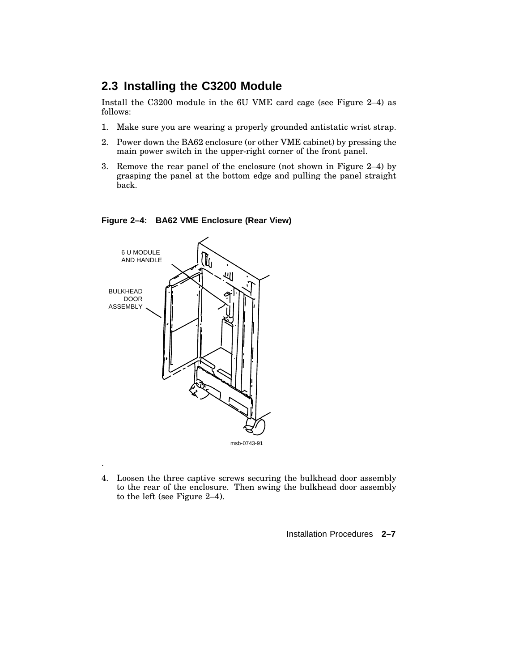## **2.3 Installing the C3200 Module**

Install the C3200 module in the 6U VME card cage (see Figure 2–4) as follows:

- 1. Make sure you are wearing a properly grounded antistatic wrist strap.
- 2. Power down the BA62 enclosure (or other VME cabinet) by pressing the main power switch in the upper-right corner of the front panel.
- 3. Remove the rear panel of the enclosure (not shown in Figure 2–4) by grasping the panel at the bottom edge and pulling the panel straight back.

#### **Figure 2–4: BA62 VME Enclosure (Rear View)**



.

4. Loosen the three captive screws securing the bulkhead door assembly to the rear of the enclosure. Then swing the bulkhead door assembly to the left (see Figure 2–4).

Installation Procedures **2–7**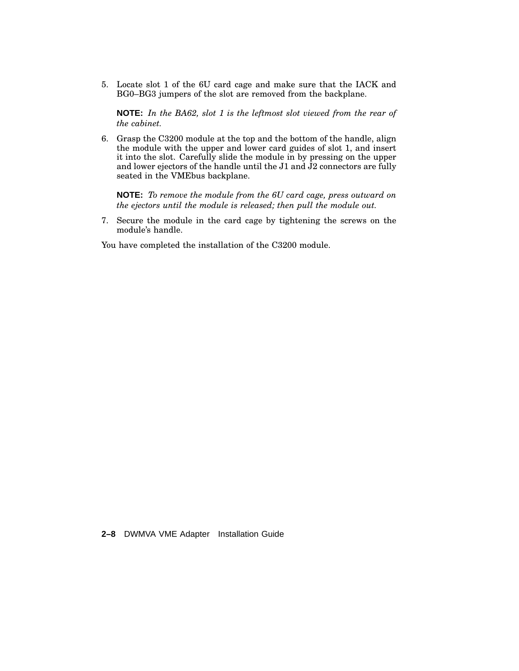5. Locate slot 1 of the 6U card cage and make sure that the IACK and BG0–BG3 jumpers of the slot are removed from the backplane.

**NOTE:** *In the BA62, slot 1 is the leftmost slot viewed from the rear of the cabinet.*

6. Grasp the C3200 module at the top and the bottom of the handle, align the module with the upper and lower card guides of slot 1, and insert it into the slot. Carefully slide the module in by pressing on the upper and lower ejectors of the handle until the J1 and J2 connectors are fully seated in the VMEbus backplane.

**NOTE:** *To remove the module from the 6U card cage, press outward on the ejectors until the module is released; then pull the module out.*

7. Secure the module in the card cage by tightening the screws on the module's handle.

You have completed the installation of the C3200 module.

**2–8** DWMVA VME Adapter Installation Guide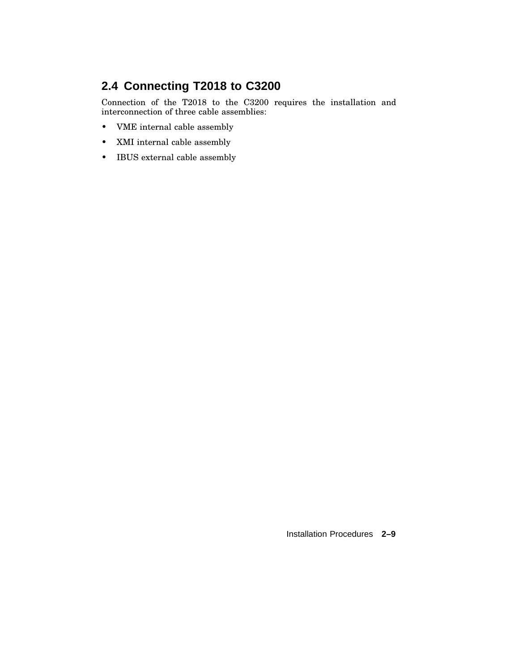## **2.4 Connecting T2018 to C3200**

Connection of the T2018 to the C3200 requires the installation and interconnection of three cable assemblies:

- VME internal cable assembly
- XMI internal cable assembly
- IBUS external cable assembly

Installation Procedures **2–9**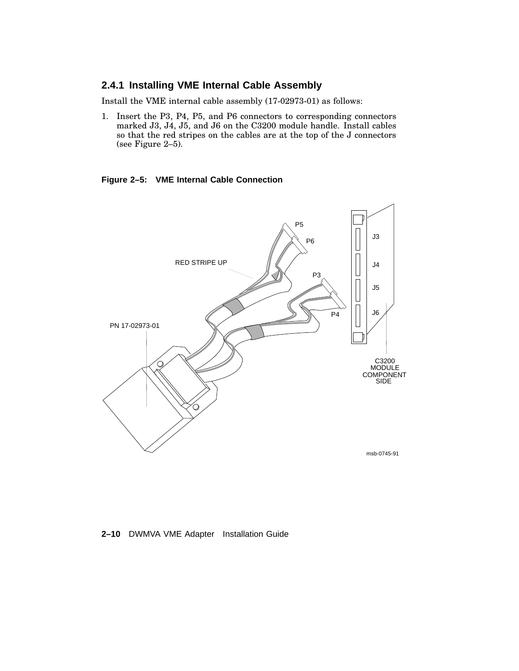## **2.4.1 Installing VME Internal Cable Assembly**

Install the VME internal cable assembly (17-02973-01) as follows:

1. Insert the P3, P4, P5, and P6 connectors to corresponding connectors marked J3, J4, J5, and J6 on the C3200 module handle. Install cables so that the red stripes on the cables are at the top of the J connectors (see Figure 2–5).

**Figure 2–5: VME Internal Cable Connection**



**2–10** DWMVA VME Adapter Installation Guide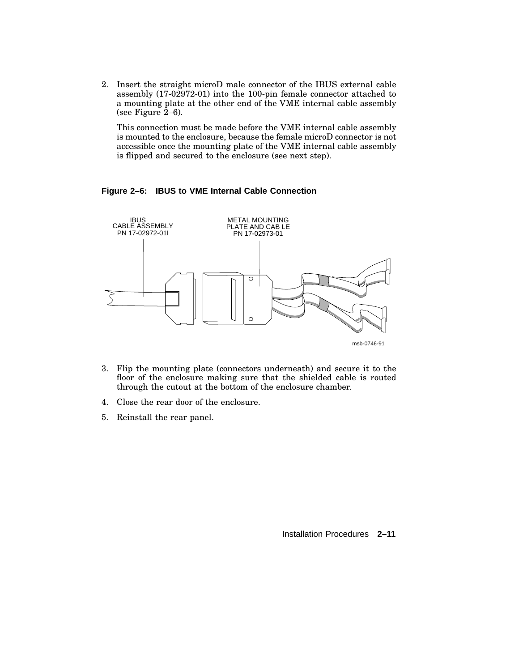2. Insert the straight microD male connector of the IBUS external cable assembly (17-02972-01) into the 100-pin female connector attached to a mounting plate at the other end of the VME internal cable assembly (see Figure 2–6).

This connection must be made before the VME internal cable assembly is mounted to the enclosure, because the female microD connector is not accessible once the mounting plate of the VME internal cable assembly is flipped and secured to the enclosure (see next step).

#### **Figure 2–6: IBUS to VME Internal Cable Connection**



- 3. Flip the mounting plate (connectors underneath) and secure it to the floor of the enclosure making sure that the shielded cable is routed through the cutout at the bottom of the enclosure chamber.
- 4. Close the rear door of the enclosure.
- 5. Reinstall the rear panel.

Installation Procedures **2–11**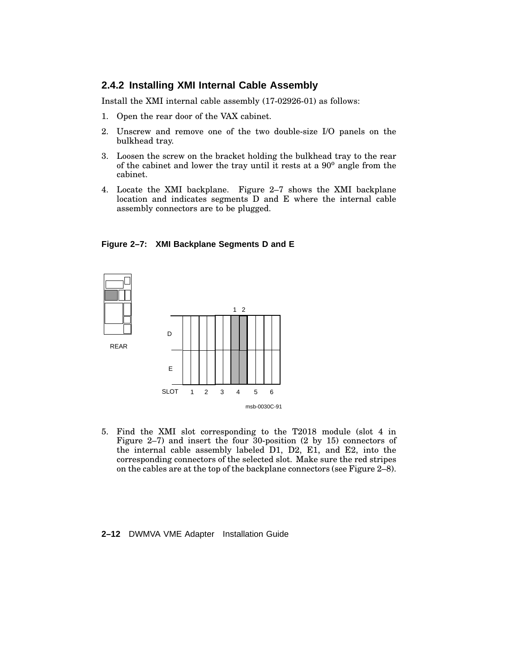#### **2.4.2 Installing XMI Internal Cable Assembly**

Install the XMI internal cable assembly (17-02926-01) as follows:

- 1. Open the rear door of the VAX cabinet.
- 2. Unscrew and remove one of the two double-size I/O panels on the bulkhead tray.
- 3. Loosen the screw on the bracket holding the bulkhead tray to the rear of the cabinet and lower the tray until it rests at a  $90^{\circ}$  angle from the cabinet.
- 4. Locate the XMI backplane. Figure 2–7 shows the XMI backplane location and indicates segments D and E where the internal cable assembly connectors are to be plugged.



#### **Figure 2–7: XMI Backplane Segments D and E**

5. Find the XMI slot corresponding to the T2018 module (slot 4 in Figure 2–7) and insert the four 30-position (2 by 15) connectors of the internal cable assembly labeled D1, D2, E1, and E2, into the corresponding connectors of the selected slot. Make sure the red stripes on the cables are at the top of the backplane connectors (see Figure 2–8).

#### **2–12** DWMVA VME Adapter Installation Guide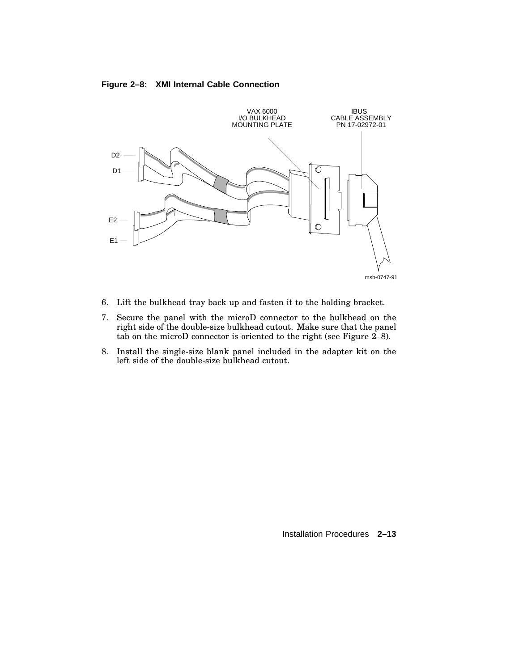**Figure 2–8: XMI Internal Cable Connection**



- 6. Lift the bulkhead tray back up and fasten it to the holding bracket.
- 7. Secure the panel with the microD connector to the bulkhead on the right side of the double-size bulkhead cutout. Make sure that the panel tab on the microD connector is oriented to the right (see Figure 2–8).
- 8. Install the single-size blank panel included in the adapter kit on the left side of the double-size bulkhead cutout.

Installation Procedures **2–13**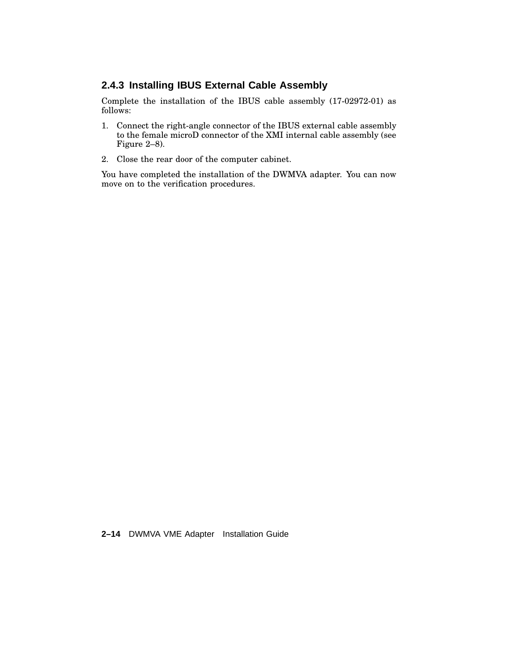#### **2.4.3 Installing IBUS External Cable Assembly**

Complete the installation of the IBUS cable assembly (17-02972-01) as follows:

- 1. Connect the right-angle connector of the IBUS external cable assembly to the female microD connector of the XMI internal cable assembly (see Figure 2–8).
- 2. Close the rear door of the computer cabinet.

You have completed the installation of the DWMVA adapter. You can now move on to the verification procedures.

**2–14** DWMVA VME Adapter Installation Guide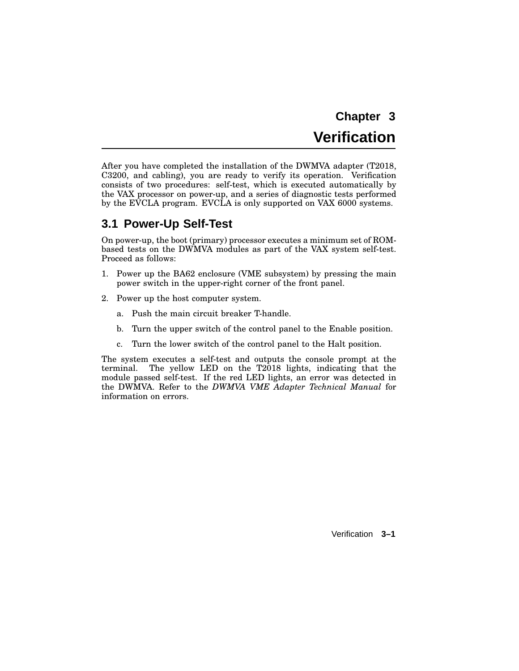## **Chapter 3 Verification**

After you have completed the installation of the DWMVA adapter (T2018, C3200, and cabling), you are ready to verify its operation. Verification consists of two procedures: self-test, which is executed automatically by the VAX processor on power-up, and a series of diagnostic tests performed by the EVCLA program. EVCLA is only supported on VAX 6000 systems.

## **3.1 Power-Up Self-Test**

On power-up, the boot (primary) processor executes a minimum set of ROMbased tests on the DWMVA modules as part of the VAX system self-test. Proceed as follows:

- 1. Power up the BA62 enclosure (VME subsystem) by pressing the main power switch in the upper-right corner of the front panel.
- 2. Power up the host computer system.
	- a. Push the main circuit breaker T-handle.
	- b. Turn the upper switch of the control panel to the Enable position.
	- c. Turn the lower switch of the control panel to the Halt position.

The system executes a self-test and outputs the console prompt at the terminal. The yellow LED on the T2018 lights, indicating that the module passed self-test. If the red LED lights, an error was detected in the DWMVA. Refer to the *DWMVA VME Adapter Technical Manual* for information on errors.

Verification **3–1**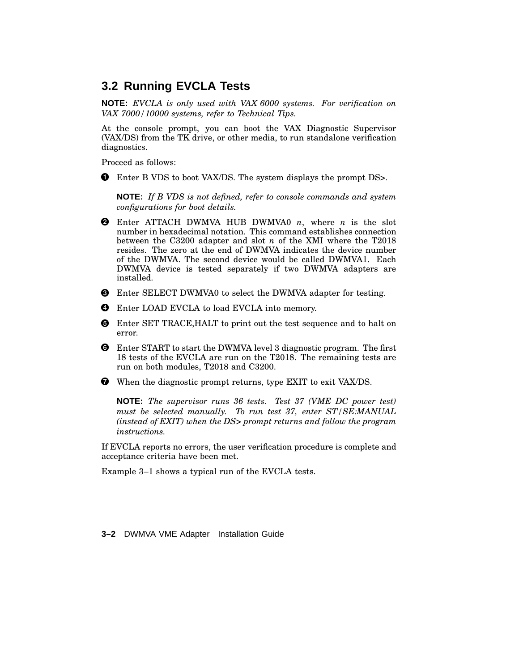## **3.2 Running EVCLA Tests**

**NOTE:** *EVCLA is only used with VAX 6000 systems. For verification on VAX 7000/10000 systems, refer to Technical Tips.*

At the console prompt, you can boot the VAX Diagnostic Supervisor (VAX/DS) from the TK drive, or other media, to run standalone verification diagnostics.

Proceed as follows:

Enter B VDS to boot VAX/DS. The system displays the prompt DS>.

**NOTE:** *If B VDS is not defined, refer to console commands and system configurations for boot details.*

- Enter ATTACH DWMVA HUB DWMVA0 *n*, where *n* is the slot number in hexadecimal notation. This command establishes connection between the C3200 adapter and slot *n* of the XMI where the T2018 resides. The zero at the end of DWMVA indicates the device number of the DWMVA. The second device would be called DWMVA1. Each DWMVA device is tested separately if two DWMVA adapters are installed.
- $\bullet$  Enter SELECT DWMVA0 to select the DWMVA adapter for testing.
- **O** Enter LOAD EVCLA to load EVCLA into memory.
- **O** Enter SET TRACE, HALT to print out the test sequence and to halt on error.
- **O** Enter START to start the DWMVA level 3 diagnostic program. The first 18 tests of the EVCLA are run on the T2018. The remaining tests are run on both modules, T2018 and C3200.
- When the diagnostic prompt returns, type EXIT to exit VAX/DS.

**NOTE:** *The supervisor runs 36 tests. Test 37 (VME DC power test) must be selected manually. To run test 37, enter ST/SE:MANUAL (instead of EXIT) when the DS> prompt returns and follow the program instructions.*

If EVCLA reports no errors, the user verification procedure is complete and acceptance criteria have been met.

Example 3–1 shows a typical run of the EVCLA tests.

**3–2** DWMVA VME Adapter Installation Guide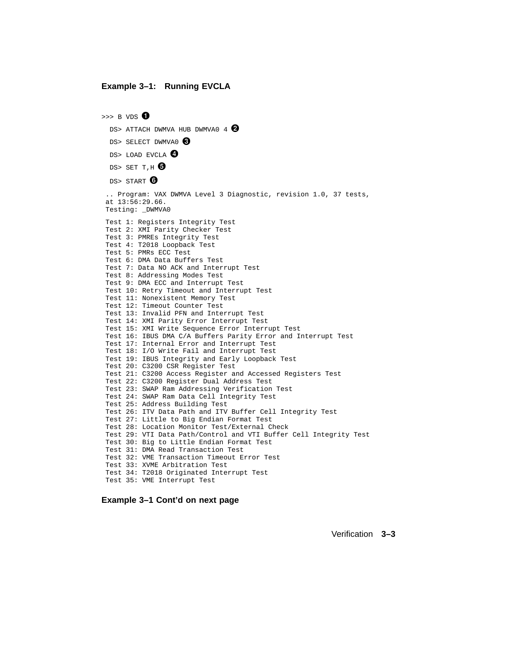#### **Example 3–1: Running EVCLA**

```
\Rightarrow B VDS \bulletDS> ATTACH DWMVA HUB DWMVA0 4 <sup>0</sup>
 DS > SELECT DWMVA0 \ThetaDS> LOAD EVCLA <sup>0</sup>
 DS> SET T, H \ThetaDS> START O
 .. Program: VAX DWMVA Level 3 Diagnostic, revision 1.0, 37 tests,
at 13:56:29.66.
Testing: _DWMVA0
Test 1: Registers Integrity Test
Test 2: XMI Parity Checker Test
Test 3: PMREs Integrity Test
Test 4: T2018 Loopback Test
Test 5: PMRs ECC Test
Test 6: DMA Data Buffers Test
Test 7: Data NO ACK and Interrupt Test
Test 8: Addressing Modes Test
Test 9: DMA ECC and Interrupt Test
Test 10: Retry Timeout and Interrupt Test
Test 11: Nonexistent Memory Test
Test 12: Timeout Counter Test
Test 13: Invalid PFN and Interrupt Test
Test 14: XMI Parity Error Interrupt Test
Test 15: XMI Write Sequence Error Interrupt Test
Test 16: IBUS DMA C/A Buffers Parity Error and Interrupt Test
Test 17: Internal Error and Interrupt Test
Test 18: I/O Write Fail and Interrupt Test
Test 19: IBUS Integrity and Early Loopback Test
Test 20: C3200 CSR Register Test
Test 21: C3200 Access Register and Accessed Registers Test
Test 22: C3200 Register Dual Address Test
Test 23: SWAP Ram Addressing Verification Test
Test 24: SWAP Ram Data Cell Integrity Test
Test 25: Address Building Test
Test 26: ITV Data Path and ITV Buffer Cell Integrity Test
Test 27: Little to Big Endian Format Test
Test 28: Location Monitor Test/External Check
Test 29: VTI Data Path/Control and VTI Buffer Cell Integrity Test
Test 30: Big to Little Endian Format Test
Test 31: DMA Read Transaction Test
Test 32: VME Transaction Timeout Error Test
Test 33: XVME Arbitration Test
Test 34: T2018 Originated Interrupt Test
Test 35: VME Interrupt Test
```
#### **Example 3–1 Cont'd on next page**

Verification **3–3**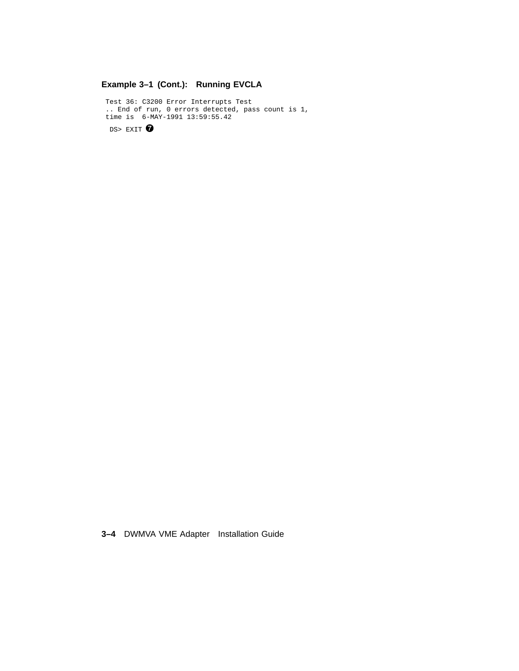### **Example 3–1 (Cont.): Running EVCLA**

Test 36: C3200 Error Interrupts Test .. End of run, 0 errors detected, pass count is 1, time is 6-MAY-1991 13:59:55.42 DS> EXIT

**3–4** DWMVA VME Adapter Installation Guide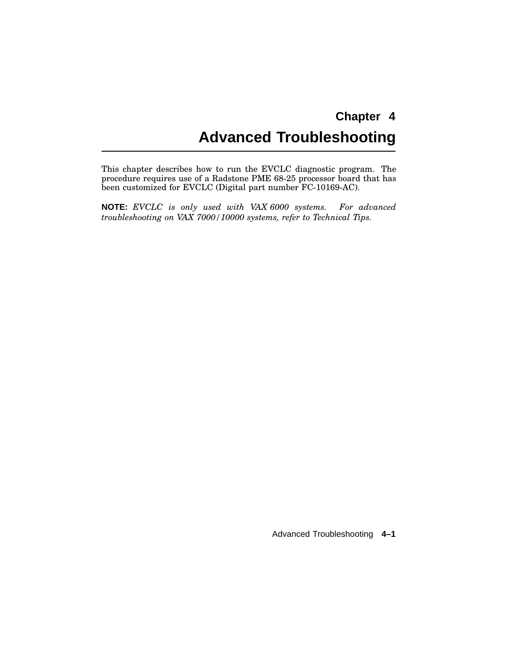# **Chapter 4 Advanced Troubleshooting**

This chapter describes how to run the EVCLC diagnostic program. The procedure requires use of a Radstone PME 68-25 processor board that has been customized for EVCLC (Digital part number FC-10169-AC).

**NOTE:** *EVCLC is only used with VAX 6000 systems. For advanced troubleshooting on VAX 7000/10000 systems, refer to Technical Tips.*

Advanced Troubleshooting **4–1**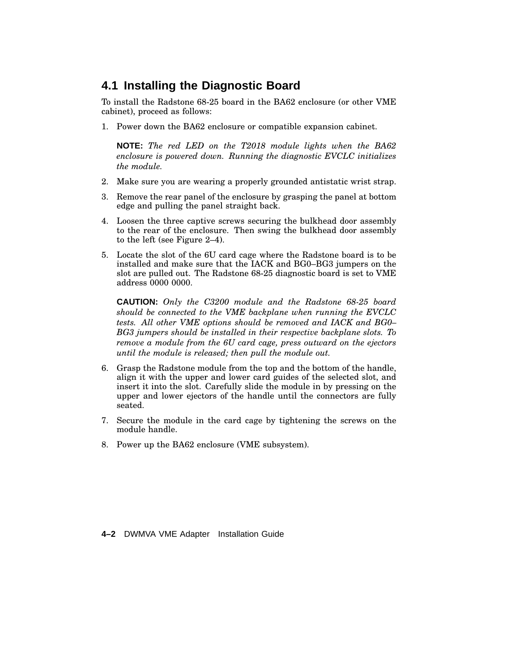## **4.1 Installing the Diagnostic Board**

To install the Radstone 68-25 board in the BA62 enclosure (or other VME cabinet), proceed as follows:

1. Power down the BA62 enclosure or compatible expansion cabinet.

**NOTE:** *The red LED on the T2018 module lights when the BA62 enclosure is powered down. Running the diagnostic EVCLC initializes the module.*

- 2. Make sure you are wearing a properly grounded antistatic wrist strap.
- 3. Remove the rear panel of the enclosure by grasping the panel at bottom edge and pulling the panel straight back.
- 4. Loosen the three captive screws securing the bulkhead door assembly to the rear of the enclosure. Then swing the bulkhead door assembly to the left (see Figure 2–4).
- 5. Locate the slot of the 6U card cage where the Radstone board is to be installed and make sure that the IACK and BG0–BG3 jumpers on the slot are pulled out. The Radstone 68-25 diagnostic board is set to VME address 0000 0000.

**CAUTION:** *Only the C3200 module and the Radstone 68-25 board should be connected to the VME backplane when running the EVCLC tests. All other VME options should be removed and IACK and BG0– BG3 jumpers should be installed in their respective backplane slots. To remove a module from the 6U card cage, press outward on the ejectors until the module is released; then pull the module out.*

- 6. Grasp the Radstone module from the top and the bottom of the handle, align it with the upper and lower card guides of the selected slot, and insert it into the slot. Carefully slide the module in by pressing on the upper and lower ejectors of the handle until the connectors are fully seated.
- 7. Secure the module in the card cage by tightening the screws on the module handle.
- 8. Power up the BA62 enclosure (VME subsystem).

**4–2** DWMVA VME Adapter Installation Guide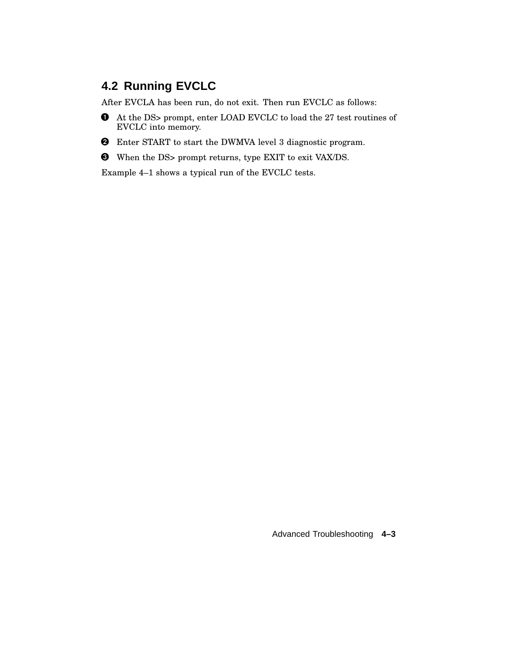## **4.2 Running EVCLC**

After EVCLA has been run, do not exit. Then run EVCLC as follows:

- At the DS> prompt, enter LOAD EVCLC to load the 27 test routines of EVCLC into memory.
- **2** Enter START to start the DWMVA level 3 diagnostic program.
- When the DS> prompt returns, type EXIT to exit VAX/DS.

Example 4–1 shows a typical run of the EVCLC tests.

Advanced Troubleshooting **4–3**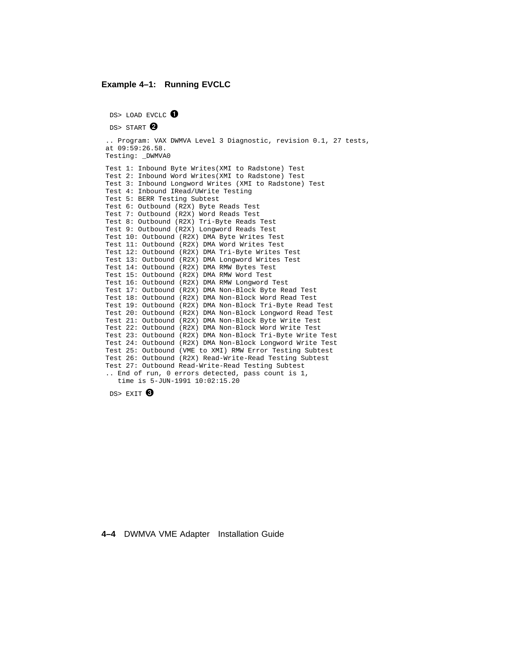#### **Example 4–1: Running EVCLC**

DS> LOAD EVCLC 0

```
DS> START <sup>2</sup>
.. Program: VAX DWMVA Level 3 Diagnostic, revision 0.1, 27 tests,
at 09:59:26.58.
Testing: _DWMVA0
Test 1: Inbound Byte Writes(XMI to Radstone) Test
Test 2: Inbound Word Writes(XMI to Radstone) Test
Test 3: Inbound Longword Writes (XMI to Radstone) Test
Test 4: Inbound IRead/UWrite Testing
Test 5: BERR Testing Subtest
Test 6: Outbound (R2X) Byte Reads Test
Test 7: Outbound (R2X) Word Reads Test
Test 8: Outbound (R2X) Tri-Byte Reads Test
Test 9: Outbound (R2X) Longword Reads Test
Test 10: Outbound (R2X) DMA Byte Writes Test
Test 11: Outbound (R2X) DMA Word Writes Test
Test 12: Outbound (R2X) DMA Tri-Byte Writes Test
Test 13: Outbound (R2X) DMA Longword Writes Test
Test 14: Outbound (R2X) DMA RMW Bytes Test
Test 15: Outbound (R2X) DMA RMW Word Test
Test 16: Outbound (R2X) DMA RMW Longword Test
Test 17: Outbound (R2X) DMA Non-Block Byte Read Test
Test 18: Outbound (R2X) DMA Non-Block Word Read Test
Test 19: Outbound (R2X) DMA Non-Block Tri-Byte Read Test
Test 20: Outbound (R2X) DMA Non-Block Longword Read Test
Test 21: Outbound (R2X) DMA Non-Block Byte Write Test
Test 22: Outbound (R2X) DMA Non-Block Word Write Test
Test 23: Outbound (R2X) DMA Non-Block Tri-Byte Write Test
Test 24: Outbound (R2X) DMA Non-Block Longword Write Test
Test 25: Outbound (VME to XMI) RMW Error Testing Subtest
Test 26: Outbound (R2X) Read-Write-Read Testing Subtest
Test 27: Outbound Read-Write-Read Testing Subtest
.. End of run, 0 errors detected, pass count is 1,
  time is 5-JUN-1991 10:02:15.20
```
 $DS > EXIT$   $\Theta$ 

**4–4** DWMVA VME Adapter Installation Guide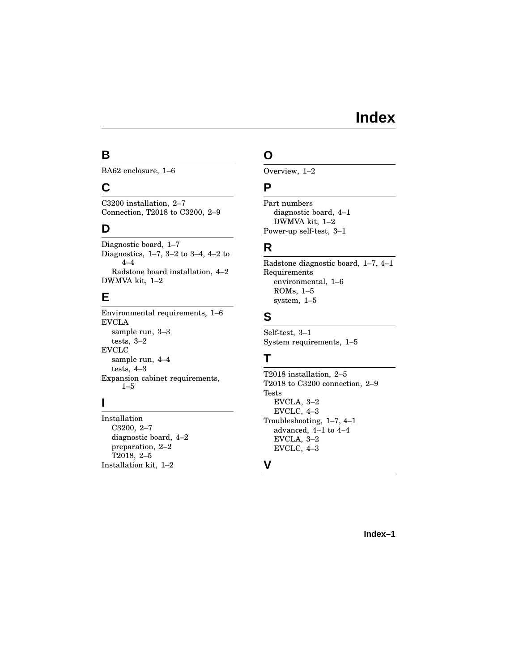## **B**

BA62 enclosure, 1–6

## **C**

C3200 installation, 2–7 Connection, T2018 to C3200, 2–9

## **D**

Diagnostic board, 1–7 Diagnostics, 1–7, 3–2 to 3–4, 4–2 to 4–4 Radstone board installation, 4–2 DWMVA kit, 1–2

## **E**

Environmental requirements, 1–6 EVCLA sample run, 3–3 tests, 3–2 EVCLC sample run, 4–4 tests, 4–3 Expansion cabinet requirements, 1–5

## **I**

Installation C3200, 2–7 diagnostic board, 4–2 preparation, 2–2 T2018, 2–5 Installation kit, 1–2

## **O**

Overview, 1–2

## **P**

Part numbers diagnostic board, 4–1 DWMVA kit, 1–2 Power-up self-test, 3–1

## **R**

Radstone diagnostic board, 1–7, 4–1 Requirements environmental, 1–6 ROMs, 1–5 system, 1–5

## **S**

Self-test, 3–1 System requirements, 1–5

## **T**

T2018 installation, 2–5 T2018 to C3200 connection, 2–9 Tests EVCLA, 3–2 EVCLC, 4–3 Troubleshooting, 1–7, 4–1 advanced, 4–1 to 4–4 EVCLA, 3–2 EVCLC, 4–3

### **V**

**Index–1**